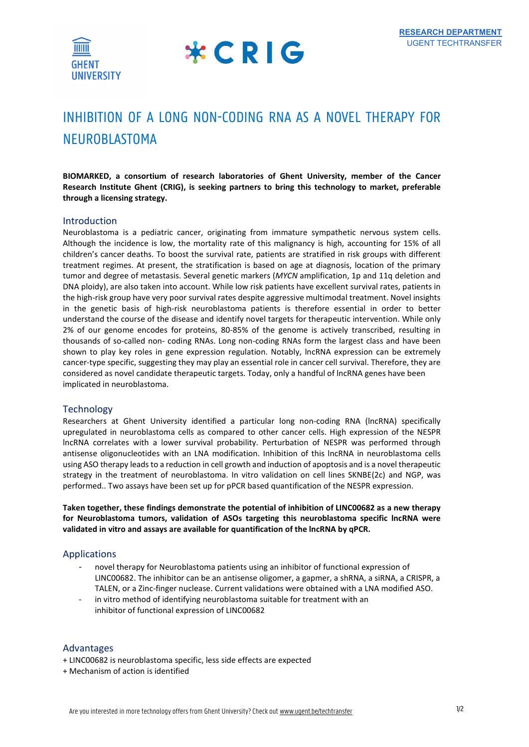



# INHIBITION OF A LONG NON-CODING RNA AS A NOVEL THERAPY FOR NEUROBLASTOMA

BIOMARKED, a consortium of research laboratories of Ghent University, member of the Cancer Research Institute Ghent (CRIG), is seeking partners to bring this technology to market, preferable through a licensing strategy.

### Introduction

Neuroblastoma is a pediatric cancer, originating from immature sympathetic nervous system cells. Although the incidence is low, the mortality rate of this malignancy is high, accounting for 15% of all children's cancer deaths. To boost the survival rate, patients are stratified in risk groups with different treatment regimes. At present, the stratification is based on age at diagnosis, location of the primary tumor and degree of metastasis. Several genetic markers (MYCN amplification, 1p and 11q deletion and DNA ploidy), are also taken into account. While low risk patients have excellent survival rates, patients in the high-risk group have very poor survival rates despite aggressive multimodal treatment. Novel insights in the genetic basis of high-risk neuroblastoma patients is therefore essential in order to better understand the course of the disease and identify novel targets for therapeutic intervention. While only 2% of our genome encodes for proteins, 80-85% of the genome is actively transcribed, resulting in thousands of so-called non- coding RNAs. Long non-coding RNAs form the largest class and have been shown to play key roles in gene expression regulation. Notably, lncRNA expression can be extremely cancer-type specific, suggesting they may play an essential role in cancer cell survival. Therefore, they are considered as novel candidate therapeutic targets. Today, only a handful of lncRNA genes have been implicated in neuroblastoma.

#### **Technology**

Researchers at Ghent University identified a particular long non-coding RNA (lncRNA) specifically upregulated in neuroblastoma cells as compared to other cancer cells. High expression of the NESPR lncRNA correlates with a lower survival probability. Perturbation of NESPR was performed through antisense oligonucleotides with an LNA modification. Inhibition of this lncRNA in neuroblastoma cells using ASO therapy leads to a reduction in cell growth and induction of apoptosis and is a novel therapeutic strategy in the treatment of neuroblastoma. In vitro validation on cell lines SKNBE(2c) and NGP, was performed.. Two assays have been set up for pPCR based quantification of the NESPR expression.

Taken together, these findings demonstrate the potential of inhibition of LINC00682 as a new therapy for Neuroblastoma tumors, validation of ASOs targeting this neuroblastoma specific lncRNA were validated in vitro and assays are available for quantification of the lncRNA by qPCR.

### Applications

- novel therapy for Neuroblastoma patients using an inhibitor of functional expression of LINC00682. The inhibitor can be an antisense oligomer, a gapmer, a shRNA, a siRNA, a CRISPR, a TALEN, or a Zinc-finger nuclease. Current validations were obtained with a LNA modified ASO.
- in vitro method of identifying neuroblastoma suitable for treatment with an inhibitor of functional expression of LINC00682

### Advantages

- + LINC00682 is neuroblastoma specific, less side effects are expected
- + Mechanism of action is identified